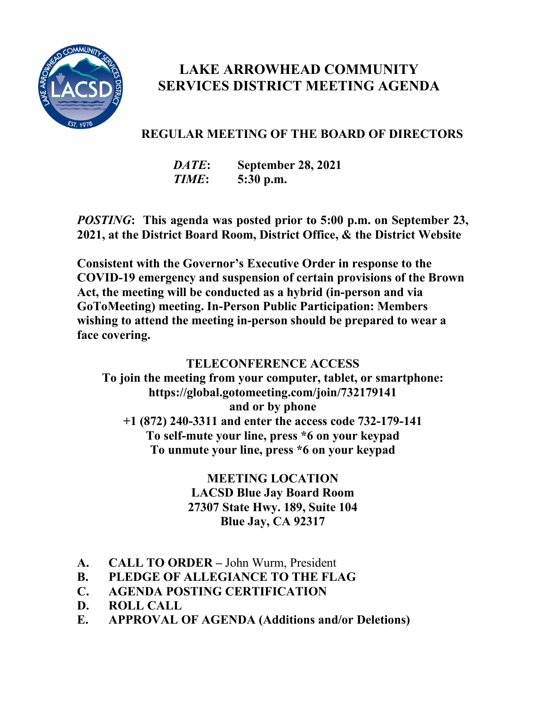

# **SERVICES DISTRICT MEETING AGENDA LAKE ARROWHEAD COMMUNITY**

### **REGULAR MEETING OF THE BOARD OF DIRECTORS**

 *TIME***: 5:30 p.m.** *DATE***: September 28, 2021** 

*POSTING***: This agenda was posted prior to 5:00 p.m. on September 23, 2021, at the District Board Room, District Office, & the District Website** 

 **Act, the meeting will be conducted as a hybrid (in-person and via wishing to attend the meeting in-person should be prepared to wear a Consistent with the Governor's Executive Order in response to the COVID-19 emergency and suspension of certain provisions of the Brown GoToMeeting) meeting. In-Person Public Participation: Members face covering.** 

#### **TELECONFERENCE ACCESS**

 **<https://global.gotomeeting.com/join/732179141>and or by phone To join the meeting from your computer, tablet, or smartphone: [+1 \(872\) 240-3311](tel:+18722403311,,732179141) and enter the access code 732-179-141 To self-mute your line, press \*6 on your keypad To unmute your line, press \*6 on your keypad** 

#### **27307 State Hwy. 189, Suite 104 MEETING LOCATION LACSD Blue Jay Board Room Blue Jay, CA 92317**

- $A<sub>r</sub>$ **A. CALL TO ORDER –** John Wurm, President
- **B. PLEDGE OF ALLEGIANCE TO THE FLAG**
- **C. AGENDA POSTING CERTIFICATION**
- **D**. **ROLL CALL**
- **E. APPROVAL OF AGENDA (Additions and/or Deletions)**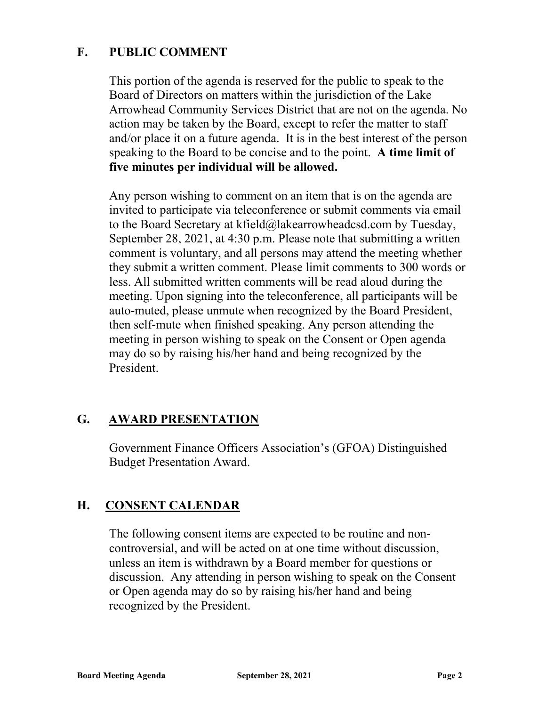#### **F. PUBLIC COMMENT**

 This portion of the agenda is reserved for the public to speak to the Board of Directors on matters within the jurisdiction of the Lake speaking to the Board to be concise and to the point. **A time limit of**  Arrowhead Community Services District that are not on the agenda. No action may be taken by the Board, except to refer the matter to staff and/or place it on a future agenda. It is in the best interest of the person **five minutes per individual will be allowed.** 

 invited to participate via teleconference or submit comments via email Any person wishing to comment on an item that is on the agenda are to the Board Secretary at [kfield@lakearrowheadcsd.com](mailto:kfield@lakearrowheadcsd.com) by Tuesday, September 28, 2021, at 4:30 p.m. Please note that submitting a written comment is voluntary, and all persons may attend the meeting whether they submit a written comment. Please limit comments to 300 words or less. All submitted written comments will be read aloud during the meeting. Upon signing into the teleconference, all participants will be auto-muted, please unmute when recognized by the Board President, then self-mute when finished speaking. Any person attending the meeting in person wishing to speak on the Consent or Open agenda may do so by raising his/her hand and being recognized by the President.

#### **G. AWARD PRESENTATION**

Government Finance Officers Association's (GFOA) Distinguished Budget Presentation Award.

#### **H. CONSENT CALENDAR**

 unless an item is withdrawn by a Board member for questions or The following consent items are expected to be routine and noncontroversial, and will be acted on at one time without discussion, discussion. Any attending in person wishing to speak on the Consent or Open agenda may do so by raising his/her hand and being recognized by the President.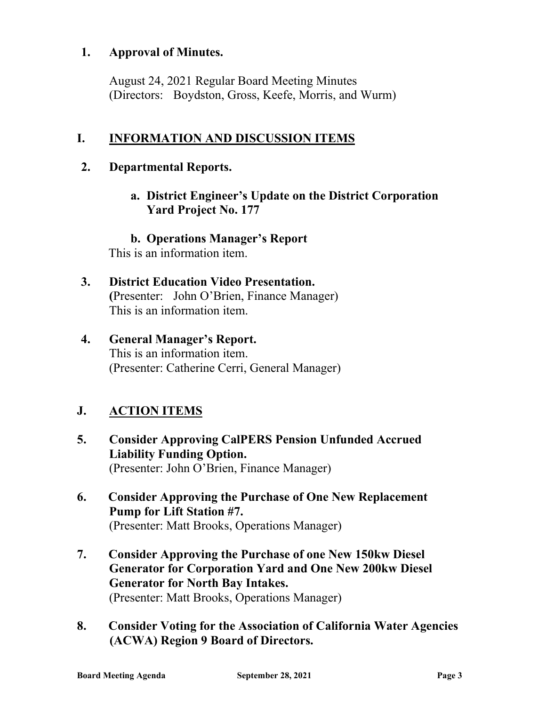#### **1. Approval of Minutes.**

 (Directors: Boydston, Gross, Keefe, Morris, and Wurm) August 24, 2021 Regular Board Meeting Minutes

# **I. INFORMATION AND DISCUSSION ITEMS**<br>2. Departmental Reports.

**a. District Engineer's Update on the District Corporation Yard Project No. 177** 

**b. Operations Manager's Report**  This is an information item.

- **3. District Education Video Presentation. (**Presenter: John O'Brien, Finance Manager) This is an information item.
- **4. General Manager's Report.**  This is an information item. (Presenter: Catherine Cerri, General Manager)

#### **J. ACTION ITEMS**

- (Presenter: John O'Brien, Finance Manager) **5. Consider Approving CalPERS Pension Unfunded Accrued Liability Funding Option.**
- **6. Consider Approving the Purchase of One New Replacement Pump for Lift Station #7.**  (Presenter: Matt Brooks, Operations Manager)
- **7. Consider Approving the Purchase of one New 150kw Diesel Generator for Corporation Yard and One New 200kw Diesel Generator for North Bay Intakes.**  (Presenter: Matt Brooks, Operations Manager)
- **8. Consider Voting for the Association of California Water Agencies (ACWA) Region 9 Board of Directors.**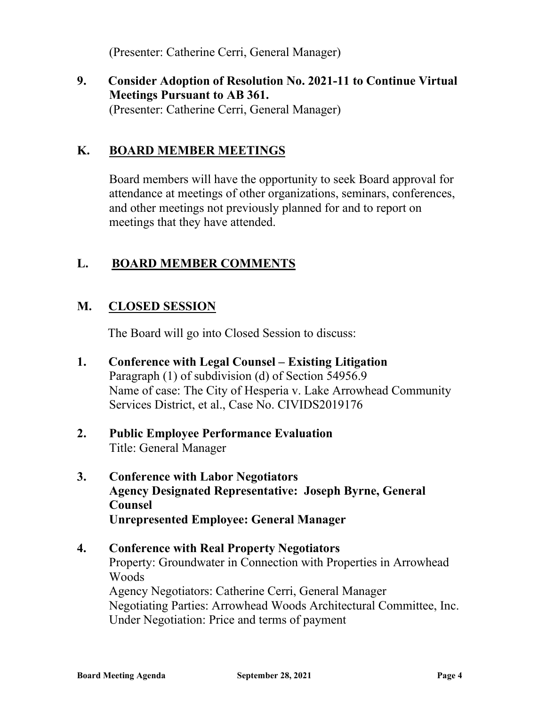(Presenter: Catherine Cerri, General Manager)

**9. Consider Adoption of Resolution No. 2021-11 to Continue Virtual Meetings Pursuant to AB 361.**  (Presenter: Catherine Cerri, General Manager)

#### **K. BOARD MEMBER MEETINGS**

 attendance at meetings of other organizations, seminars, conferences, Board members will have the opportunity to seek Board approval for and other meetings not previously planned for and to report on meetings that they have attended.

#### **L. BOARD MEMBER COMMENTS**

#### **M**. **M. CLOSED SESSION**

The Board will go into Closed Session to discuss:

- Name of case: The City of Hesperia v. Lake Arrowhead Community **1. Conference with Legal Counsel – Existing Litigation**  Paragraph (1) of subdivision (d) of Section 54956.9 Services District, et al., Case No. CIVIDS2019176
- **2. Public Employee Performance Evaluation**  Title: General Manager
- **Agency Designated Representative: Joseph Byrne, General 3. Conference with Labor Negotiators Counsel Unrepresented Employee: General Manager**

## Property: Groundwater in Connection with Properties in Arrowhead Woods **4. Conference with Real Property Negotiators**  Agency Negotiators: Catherine Cerri, General Manager Negotiating Parties: Arrowhead Woods Architectural Committee, Inc. Under Negotiation: Price and terms of payment